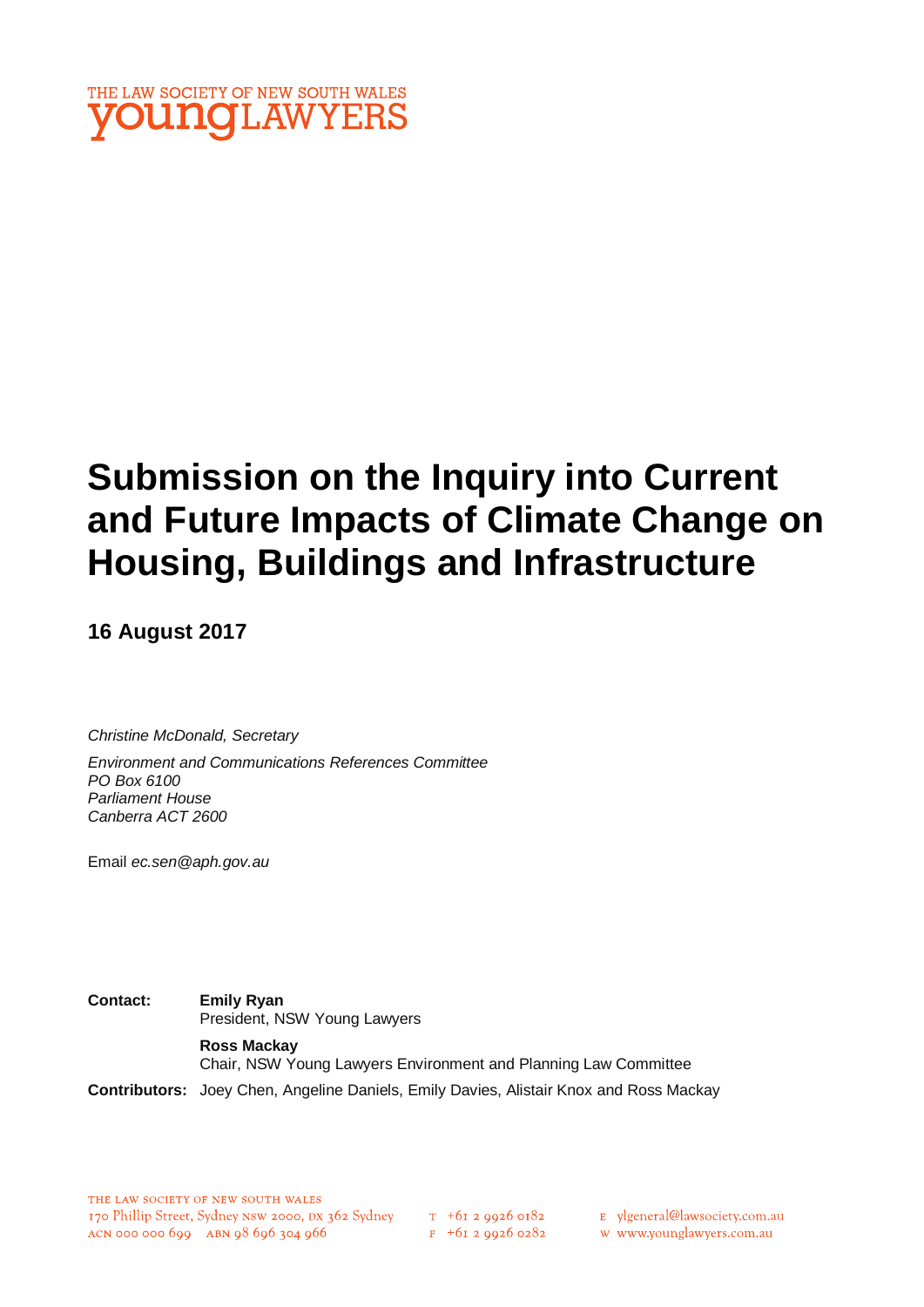

# **Submission on the Inquiry into Current and Future Impacts of Climate Change on Housing, Buildings and Infrastructure**

**16 August 2017**

*Christine McDonald, Secretary*

*Environment and Communications References Committee PO Box 6100 Parliament House Canberra ACT 2600* 

Email *ec.sen@aph.gov.au*

**Contact: Emily Ryan** President, NSW Young Lawyers

> **Ross Mackay** Chair, NSW Young Lawyers Environment and Planning Law Committee

**Contributors:** Joey Chen, Angeline Daniels, Emily Davies, Alistair Knox and Ross Mackay

 $F$  +61 2 9926 0282

E ylgeneral@lawsociety.com.au

w www.younglawyers.com.au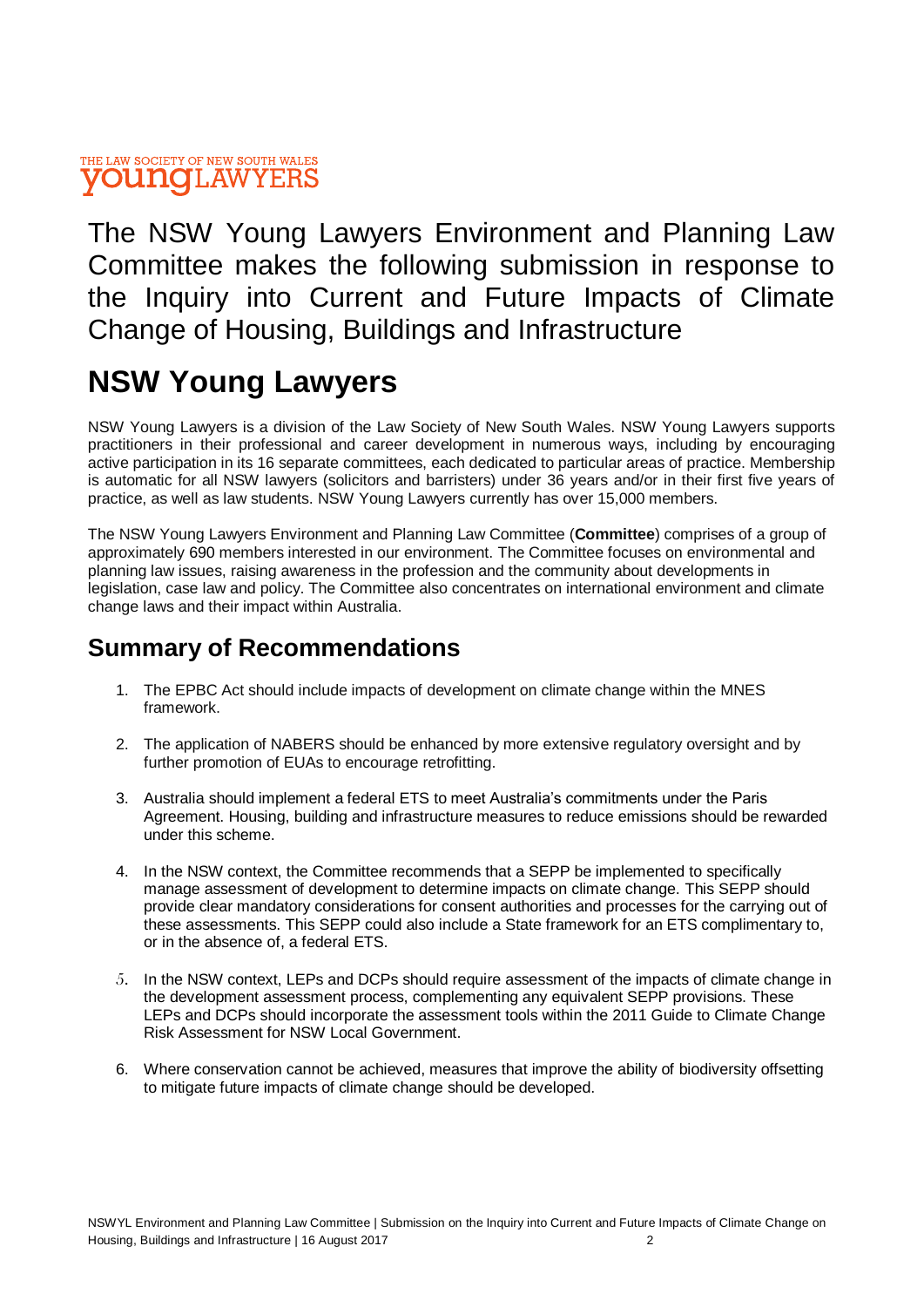### THE LAW SOCIETY OF NEW SOUTH WALES **VOUNCLAWYERS**

The NSW Young Lawyers Environment and Planning Law Committee makes the following submission in response to the Inquiry into Current and Future Impacts of Climate Change of Housing, Buildings and Infrastructure

# **NSW Young Lawyers**

NSW Young Lawyers is a division of the Law Society of New South Wales. NSW Young Lawyers supports practitioners in their professional and career development in numerous ways, including by encouraging active participation in its 16 separate committees, each dedicated to particular areas of practice. Membership is automatic for all NSW lawyers (solicitors and barristers) under 36 years and/or in their first five years of practice, as well as law students. NSW Young Lawyers currently has over 15,000 members.

The NSW Young Lawyers Environment and Planning Law Committee (**Committee**) comprises of a group of approximately 690 members interested in our environment. The Committee focuses on environmental and planning law issues, raising awareness in the profession and the community about developments in legislation, case law and policy. The Committee also concentrates on international environment and climate change laws and their impact within Australia.

# **Summary of Recommendations**

- 1. The EPBC Act should include impacts of development on climate change within the MNES framework.
- 2. The application of NABERS should be enhanced by more extensive regulatory oversight and by further promotion of EUAs to encourage retrofitting.
- 3. Australia should implement a federal ETS to meet Australia's commitments under the Paris Agreement. Housing, building and infrastructure measures to reduce emissions should be rewarded under this scheme.
- 4. In the NSW context, the Committee recommends that a SEPP be implemented to specifically manage assessment of development to determine impacts on climate change. This SEPP should provide clear mandatory considerations for consent authorities and processes for the carrying out of these assessments. This SEPP could also include a State framework for an ETS complimentary to, or in the absence of, a federal ETS.
- 5. In the NSW context, LEPs and DCPs should require assessment of the impacts of climate change in the development assessment process, complementing any equivalent SEPP provisions. These LEPs and DCPs should incorporate the assessment tools within the 2011 Guide to Climate Change Risk Assessment for NSW Local Government.
- 6. Where conservation cannot be achieved, measures that improve the ability of biodiversity offsetting to mitigate future impacts of climate change should be developed.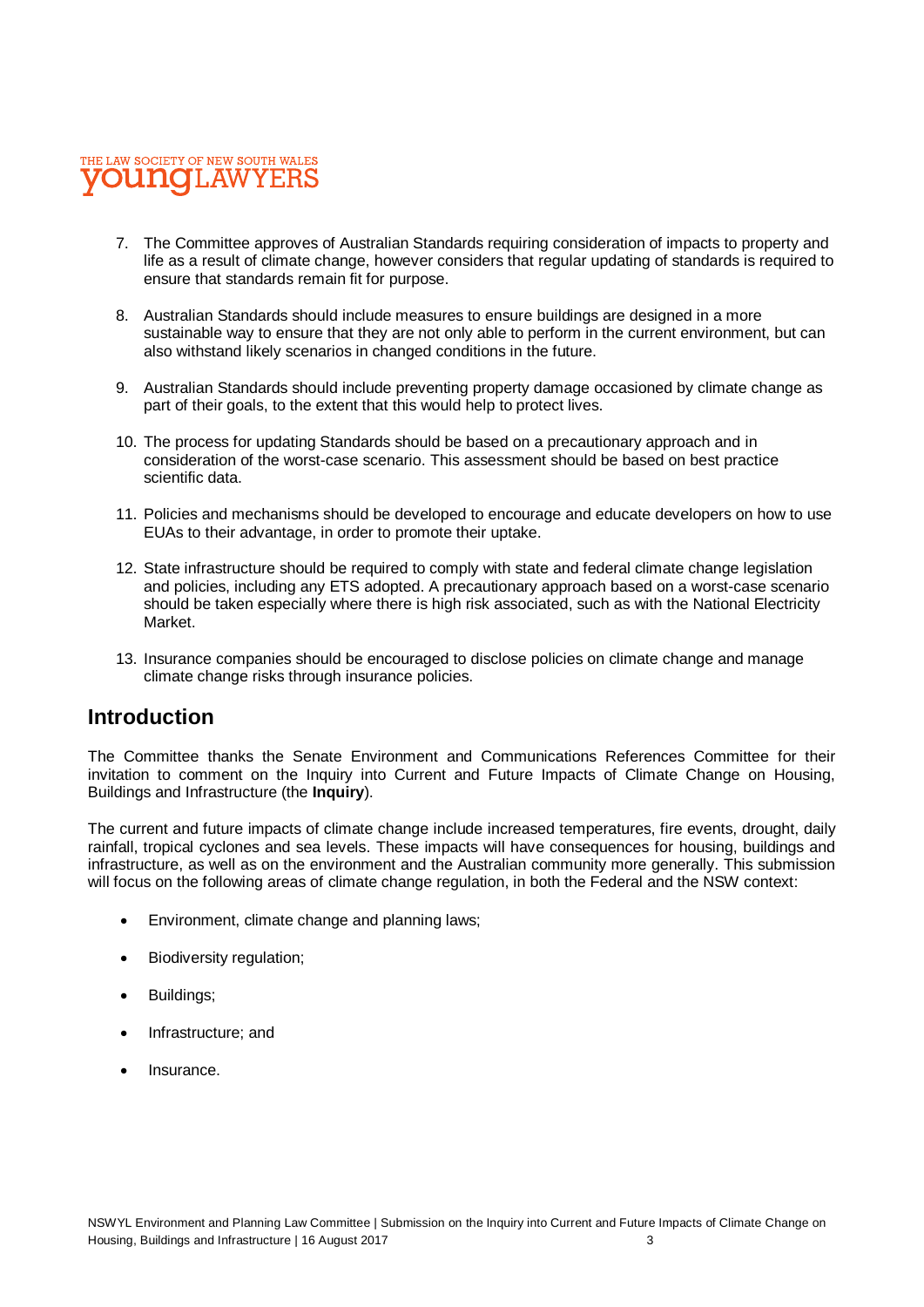

- 7. The Committee approves of Australian Standards requiring consideration of impacts to property and life as a result of climate change, however considers that regular updating of standards is required to ensure that standards remain fit for purpose.
- 8. Australian Standards should include measures to ensure buildings are designed in a more sustainable way to ensure that they are not only able to perform in the current environment, but can also withstand likely scenarios in changed conditions in the future.
- 9. Australian Standards should include preventing property damage occasioned by climate change as part of their goals, to the extent that this would help to protect lives.
- 10. The process for updating Standards should be based on a precautionary approach and in consideration of the worst-case scenario. This assessment should be based on best practice scientific data.
- 11. Policies and mechanisms should be developed to encourage and educate developers on how to use EUAs to their advantage, in order to promote their uptake.
- 12. State infrastructure should be required to comply with state and federal climate change legislation and policies, including any ETS adopted. A precautionary approach based on a worst-case scenario should be taken especially where there is high risk associated, such as with the National Electricity Market.
- 13. Insurance companies should be encouraged to disclose policies on climate change and manage climate change risks through insurance policies.

### **Introduction**

The Committee thanks the Senate Environment and Communications References Committee for their invitation to comment on the Inquiry into Current and Future Impacts of Climate Change on Housing, Buildings and Infrastructure (the **Inquiry**).

The current and future impacts of climate change include increased temperatures, fire events, drought, daily rainfall, tropical cyclones and sea levels. These impacts will have consequences for housing, buildings and infrastructure, as well as on the environment and the Australian community more generally. This submission will focus on the following areas of climate change regulation, in both the Federal and the NSW context:

- Environment, climate change and planning laws;
- Biodiversity regulation;
- Buildings;
- Infrastructure; and
- Insurance.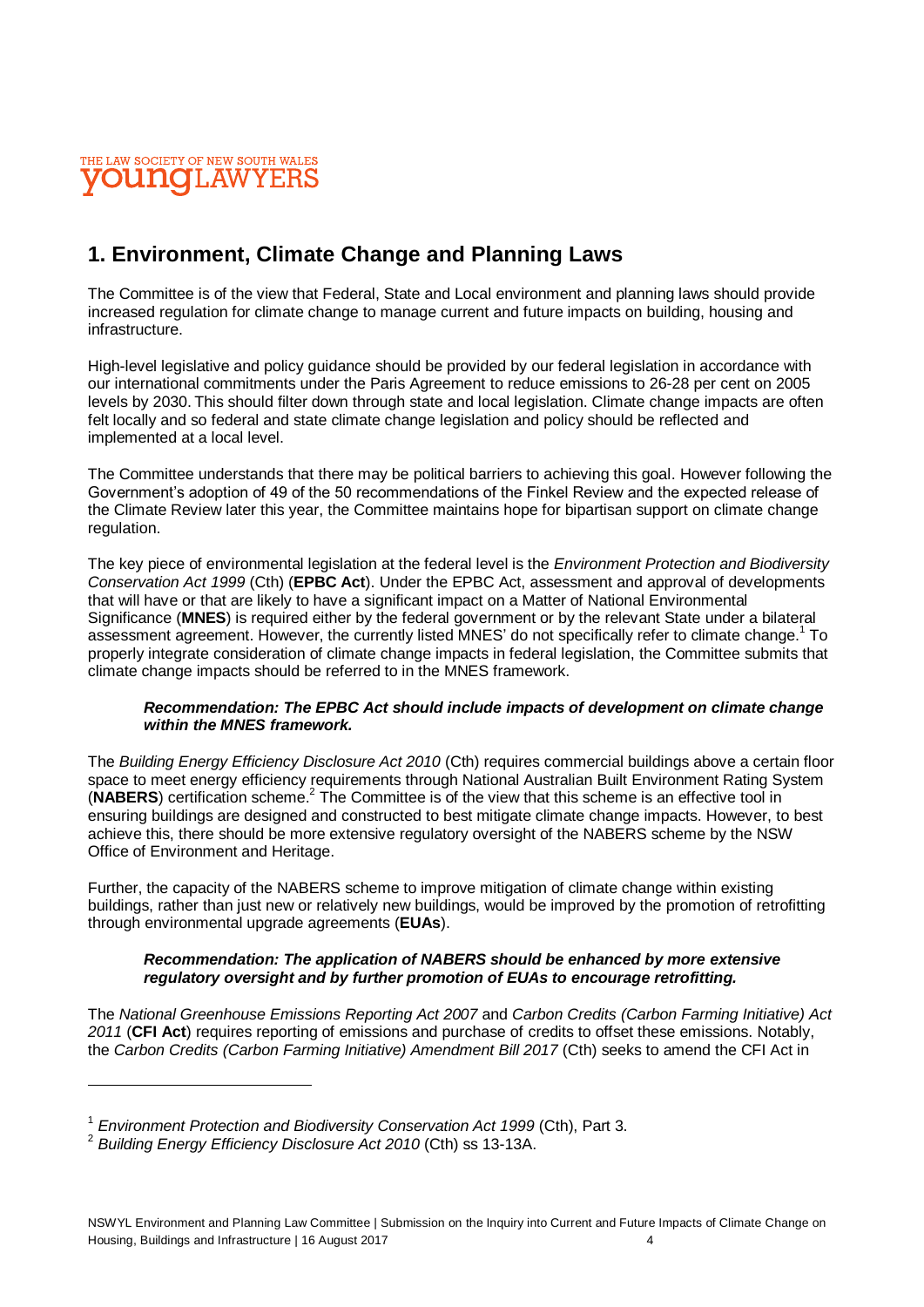

# **1. Environment, Climate Change and Planning Laws**

The Committee is of the view that Federal, State and Local environment and planning laws should provide increased regulation for climate change to manage current and future impacts on building, housing and infrastructure.

High-level legislative and policy guidance should be provided by our federal legislation in accordance with our international commitments under the Paris Agreement to reduce emissions to 26-28 per cent on 2005 levels by 2030. This should filter down through state and local legislation. Climate change impacts are often felt locally and so federal and state climate change legislation and policy should be reflected and implemented at a local level.

The Committee understands that there may be political barriers to achieving this goal. However following the Government's adoption of 49 of the 50 recommendations of the Finkel Review and the expected release of the Climate Review later this year, the Committee maintains hope for bipartisan support on climate change regulation.

The key piece of environmental legislation at the federal level is the *Environment Protection and Biodiversity Conservation Act 1999* (Cth) (**EPBC Act**). Under the EPBC Act, assessment and approval of developments that will have or that are likely to have a significant impact on a Matter of National Environmental Significance (**MNES**) is required either by the federal government or by the relevant State under a bilateral assessment agreement. However, the currently listed MNES' do not specifically refer to climate change.<sup>1</sup> To properly integrate consideration of climate change impacts in federal legislation, the Committee submits that climate change impacts should be referred to in the MNES framework.

### *Recommendation: The EPBC Act should include impacts of development on climate change within the MNES framework.*

The *Building Energy Efficiency Disclosure Act 2010* (Cth) requires commercial buildings above a certain floor space to meet energy efficiency requirements through National Australian Built Environment Rating System (NABERS) certification scheme.<sup>2</sup> The Committee is of the view that this scheme is an effective tool in ensuring buildings are designed and constructed to best mitigate climate change impacts. However, to best achieve this, there should be more extensive regulatory oversight of the NABERS scheme by the NSW Office of Environment and Heritage.

Further, the capacity of the NABERS scheme to improve mitigation of climate change within existing buildings, rather than just new or relatively new buildings, would be improved by the promotion of retrofitting through environmental upgrade agreements (**EUAs**).

### *Recommendation: The application of NABERS should be enhanced by more extensive regulatory oversight and by further promotion of EUAs to encourage retrofitting.*

The *National Greenhouse Emissions Reporting Act 2007* and *Carbon Credits (Carbon Farming Initiative) Act 2011* (**CFI Act**) requires reporting of emissions and purchase of credits to offset these emissions. Notably, the *Carbon Credits (Carbon Farming Initiative) Amendment Bill 2017* (Cth) seeks to amend the CFI Act in

<sup>&</sup>lt;sup>1</sup> Environment Protection and Biodiversity Conservation Act 1999 (Cth), Part 3.

<sup>2</sup> *Building Energy Efficiency Disclosure Act 2010* (Cth) ss 13-13A.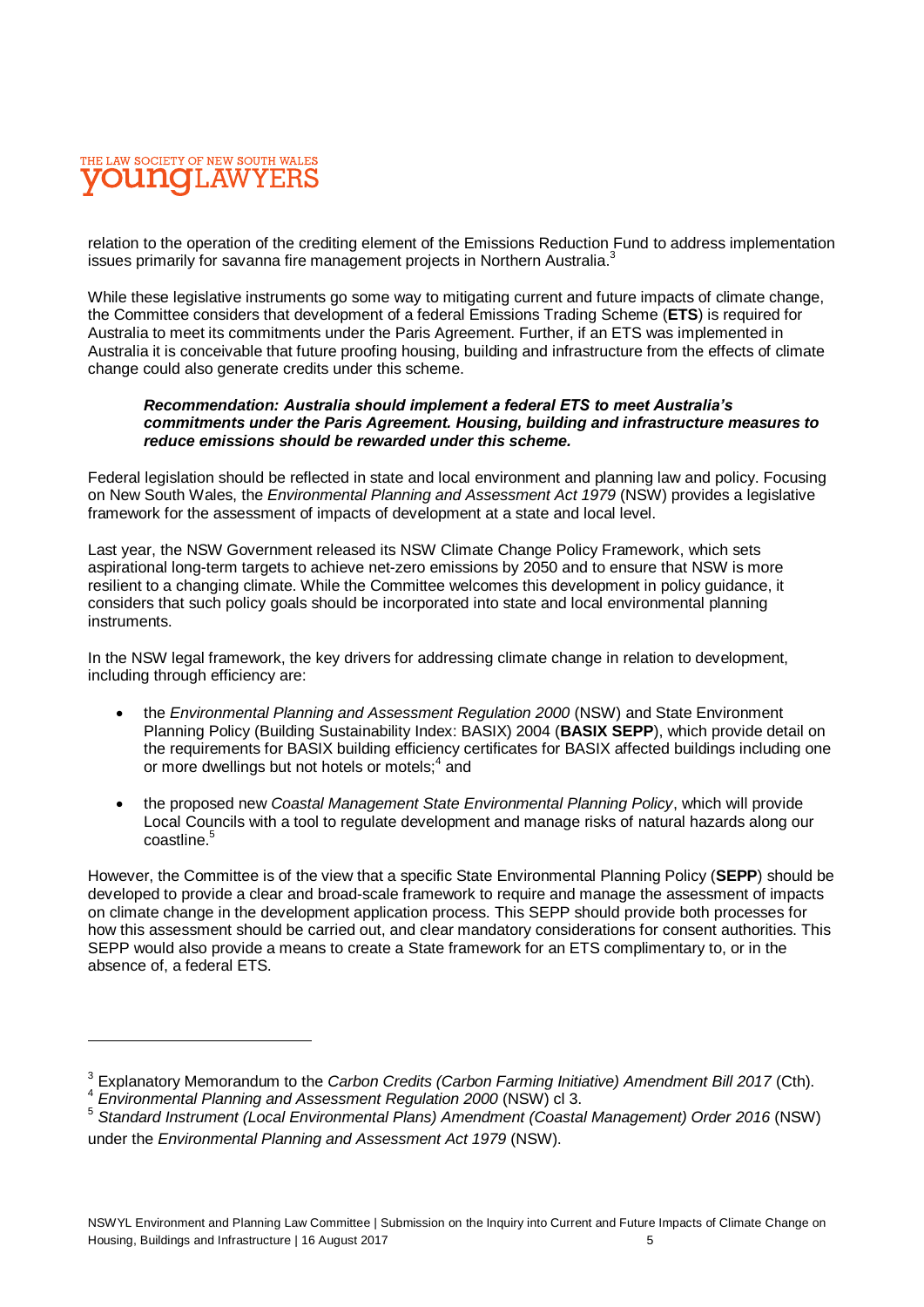

relation to the operation of the crediting element of the Emissions Reduction Fund to address implementation issues primarily for savanna fire management projects in Northern Australia.<sup>3</sup>

While these legislative instruments go some way to mitigating current and future impacts of climate change, the Committee considers that development of a federal Emissions Trading Scheme (**ETS**) is required for Australia to meet its commitments under the Paris Agreement. Further, if an ETS was implemented in Australia it is conceivable that future proofing housing, building and infrastructure from the effects of climate change could also generate credits under this scheme.

#### *Recommendation: Australia should implement a federal ETS to meet Australia's commitments under the Paris Agreement. Housing, building and infrastructure measures to reduce emissions should be rewarded under this scheme.*

Federal legislation should be reflected in state and local environment and planning law and policy. Focusing on New South Wales, the *Environmental Planning and Assessment Act 1979* (NSW) provides a legislative framework for the assessment of impacts of development at a state and local level.

Last year, the NSW Government released its NSW Climate Change Policy Framework, which sets aspirational long-term targets to achieve net-zero emissions by 2050 and to ensure that NSW is more resilient to a changing climate. While the Committee welcomes this development in policy guidance, it considers that such policy goals should be incorporated into state and local environmental planning instruments.

In the NSW legal framework, the key drivers for addressing climate change in relation to development, including through efficiency are:

- the *Environmental Planning and Assessment Regulation 2000* (NSW) and State Environment Planning Policy (Building Sustainability Index: BASIX) 2004 (**BASIX SEPP**), which provide detail on the requirements for BASIX building efficiency certificates for BASIX affected buildings including one or more dwellings but not hotels or motels;<sup>4</sup> and
- the proposed new *Coastal Management State Environmental Planning Policy*, which will provide Local Councils with a tool to regulate development and manage risks of natural hazards along our coastline.<sup>5</sup>

However, the Committee is of the view that a specific State Environmental Planning Policy (**SEPP**) should be developed to provide a clear and broad-scale framework to require and manage the assessment of impacts on climate change in the development application process. This SEPP should provide both processes for how this assessment should be carried out, and clear mandatory considerations for consent authorities. This SEPP would also provide a means to create a State framework for an ETS complimentary to, or in the absence of, a federal ETS.

 $\overline{a}$ 

<sup>3</sup> Explanatory Memorandum to the *Carbon Credits (Carbon Farming Initiative) Amendment Bill 2017* (Cth).

<sup>4</sup> *Environmental Planning and Assessment Regulation 2000* (NSW) cl 3.

<sup>5</sup> *Standard Instrument (Local Environmental Plans) Amendment (Coastal Management) Order 2016* (NSW) under the *Environmental Planning and Assessment Act 1979* (NSW).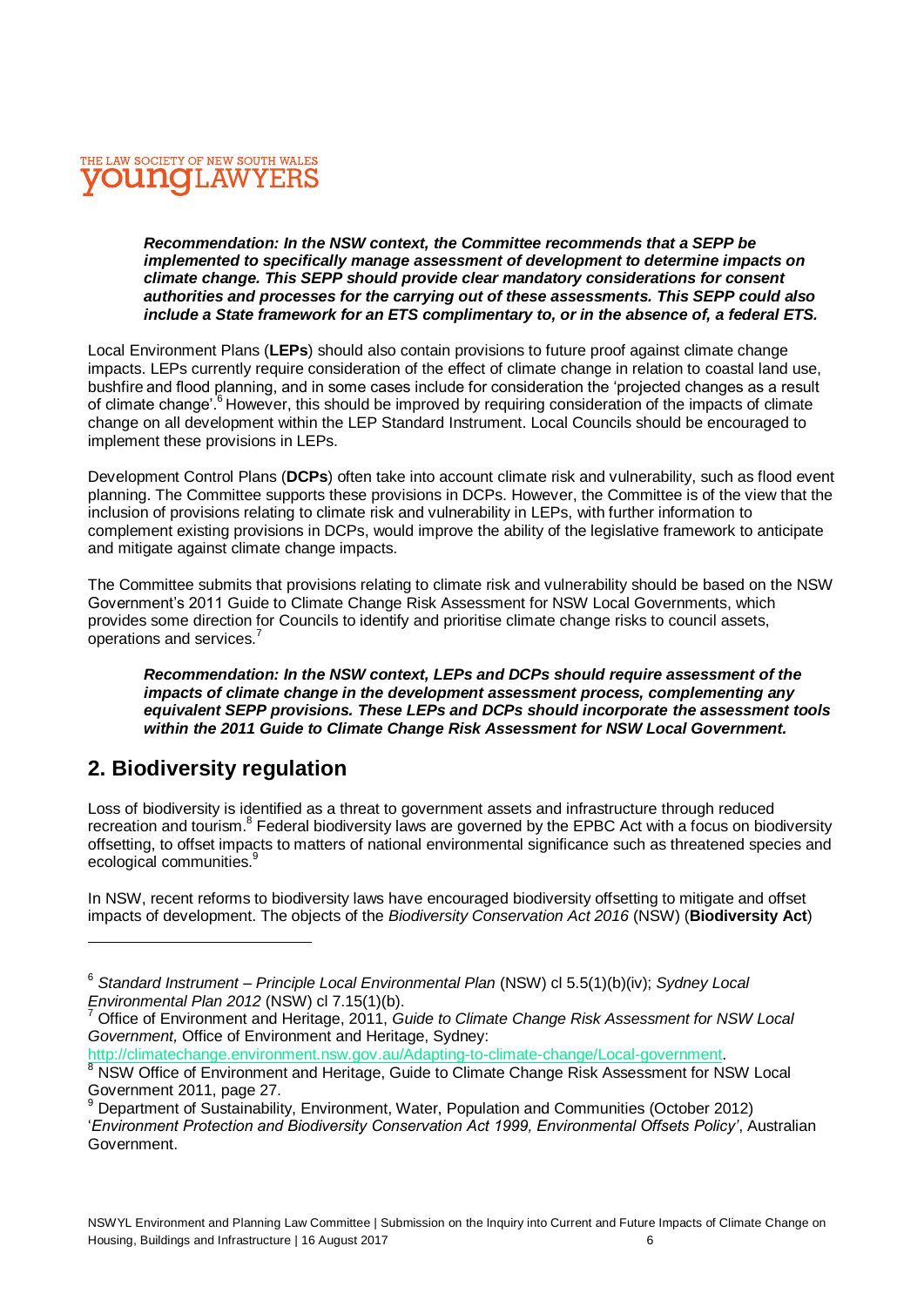

*Recommendation: In the NSW context, the Committee recommends that a SEPP be implemented to specifically manage assessment of development to determine impacts on climate change. This SEPP should provide clear mandatory considerations for consent authorities and processes for the carrying out of these assessments. This SEPP could also include a State framework for an ETS complimentary to, or in the absence of, a federal ETS.*

Local Environment Plans (**LEPs**) should also contain provisions to future proof against climate change impacts. LEPs currently require consideration of the effect of climate change in relation to coastal land use, bushfire and flood planning, and in some cases include for consideration the 'projected changes as a result of climate change'.<sup>6</sup> However, this should be improved by requiring consideration of the impacts of climate change on all development within the LEP Standard Instrument. Local Councils should be encouraged to implement these provisions in LEPs.

Development Control Plans (**DCPs**) often take into account climate risk and vulnerability, such as flood event planning. The Committee supports these provisions in DCPs. However, the Committee is of the view that the inclusion of provisions relating to climate risk and vulnerability in LEPs, with further information to complement existing provisions in DCPs, would improve the ability of the legislative framework to anticipate and mitigate against climate change impacts.

The Committee submits that provisions relating to climate risk and vulnerability should be based on the NSW Government's 2011 Guide to Climate Change Risk Assessment for NSW Local Governments, which provides some direction for Councils to identify and prioritise climate change risks to council assets, operations and services.<sup>7</sup>

*Recommendation: In the NSW context, LEPs and DCPs should require assessment of the impacts of climate change in the development assessment process, complementing any equivalent SEPP provisions. These LEPs and DCPs should incorporate the assessment tools within the 2011 Guide to Climate Change Risk Assessment for NSW Local Government.*

# **2. Biodiversity regulation**

 $\overline{a}$ 

Loss of biodiversity is identified as a threat to government assets and infrastructure through reduced recreation and tourism.<sup>8</sup> Federal biodiversity laws are governed by the EPBC Act with a focus on biodiversity offsetting, to offset impacts to matters of national environmental significance such as threatened species and ecological communities.<sup>9</sup>

In NSW, recent reforms to biodiversity laws have encouraged biodiversity offsetting to mitigate and offset impacts of development. The objects of the *Biodiversity Conservation Act 2016* (NSW) (**Biodiversity Act**)

[http://climatechange.environment.nsw.gov.au/Adapting-to-climate-change/Local-government.](http://climatechange.environment.nsw.gov.au/Adapting-to-climate-change/Local-government)

<sup>6</sup> *Standard Instrument – Principle Local Environmental Plan* (NSW) cl 5.5(1)(b)(iv); *Sydney Local Environmental Plan 2012* (NSW) cl 7.15(1)(b).

<sup>7</sup> Office of Environment and Heritage, 2011, *Guide to Climate Change Risk Assessment for NSW Local Government,* Office of Environment and Heritage, Sydney:

<sup>8</sup> NSW Office of Environment and Heritage, Guide to Climate Change Risk Assessment for NSW Local Government 2011, page 27.

<sup>9</sup> Department of Sustainability, Environment, Water, Population and Communities (October 2012) '*Environment Protection and Biodiversity Conservation Act 1999, Environmental Offsets Policy'*, Australian Government.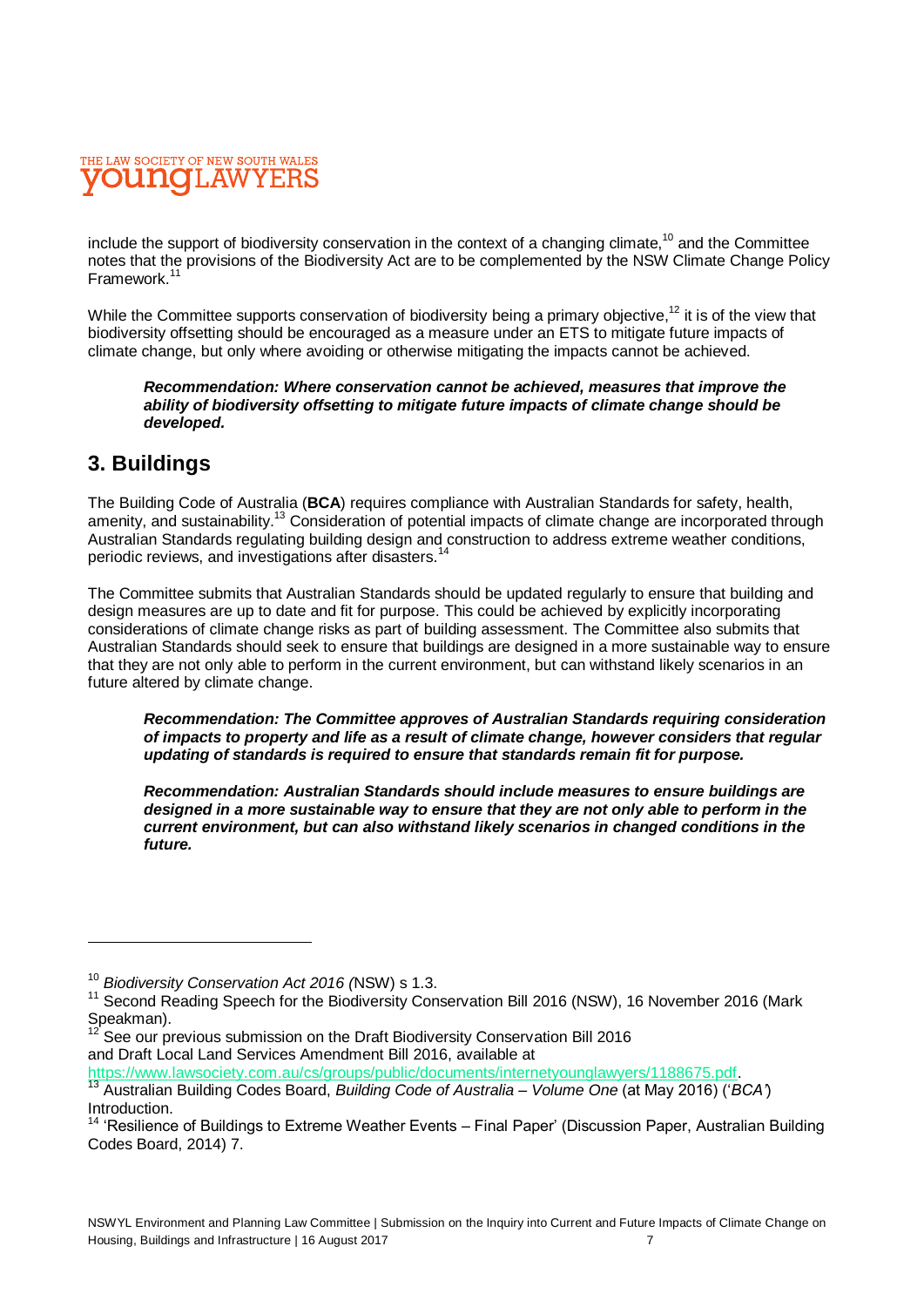

include the support of biodiversity conservation in the context of a changing climate, $10$  and the Committee notes that the provisions of the Biodiversity Act are to be complemented by the NSW Climate Change Policy Framework.<sup>11</sup>

While the Committee supports conservation of biodiversity being a primary objective,<sup>12</sup> it is of the view that biodiversity offsetting should be encouraged as a measure under an ETS to mitigate future impacts of climate change, but only where avoiding or otherwise mitigating the impacts cannot be achieved.

*Recommendation: Where conservation cannot be achieved, measures that improve the ability of biodiversity offsetting to mitigate future impacts of climate change should be developed.*

# **3. Buildings**

 $\overline{a}$ 

The Building Code of Australia (**BCA**) requires compliance with Australian Standards for safety, health, amenity, and sustainability.<sup>13</sup> Consideration of potential impacts of climate change are incorporated through Australian Standards regulating building design and construction to address extreme weather conditions, periodic reviews, and investigations after disasters.<sup>14</sup>

The Committee submits that Australian Standards should be updated regularly to ensure that building and design measures are up to date and fit for purpose. This could be achieved by explicitly incorporating considerations of climate change risks as part of building assessment. The Committee also submits that Australian Standards should seek to ensure that buildings are designed in a more sustainable way to ensure that they are not only able to perform in the current environment, but can withstand likely scenarios in an future altered by climate change.

*Recommendation: The Committee approves of Australian Standards requiring consideration of impacts to property and life as a result of climate change, however considers that regular updating of standards is required to ensure that standards remain fit for purpose.*

*Recommendation: Australian Standards should include measures to ensure buildings are designed in a more sustainable way to ensure that they are not only able to perform in the current environment, but can also withstand likely scenarios in changed conditions in the future.*

<sup>12</sup> See our previous submission on the Draft Biodiversity Conservation Bill 2016 and Draft Local Land Services Amendment Bill 2016, available at

[https://www.lawsociety.com.au/cs/groups/public/documents/internetyounglawyers/1188675.pdf.](https://www.lawsociety.com.au/cs/groups/public/documents/internetyounglawyers/1188675.pdf) <sup>13</sup> Australian Building Codes Board, *Building Code of Australia – Volume One* (at May 2016) ('*BCA'*) Introduction.

<sup>10</sup> *Biodiversity Conservation Act 2016 (*NSW) s 1.3.

<sup>&</sup>lt;sup>11</sup> Second Reading Speech for the Biodiversity Conservation Bill 2016 (NSW), 16 November 2016 (Mark Speakman).

<sup>&</sup>lt;sup>14</sup> 'Resilience of Buildings to Extreme Weather Events – Final Paper' (Discussion Paper, Australian Building Codes Board, 2014) 7.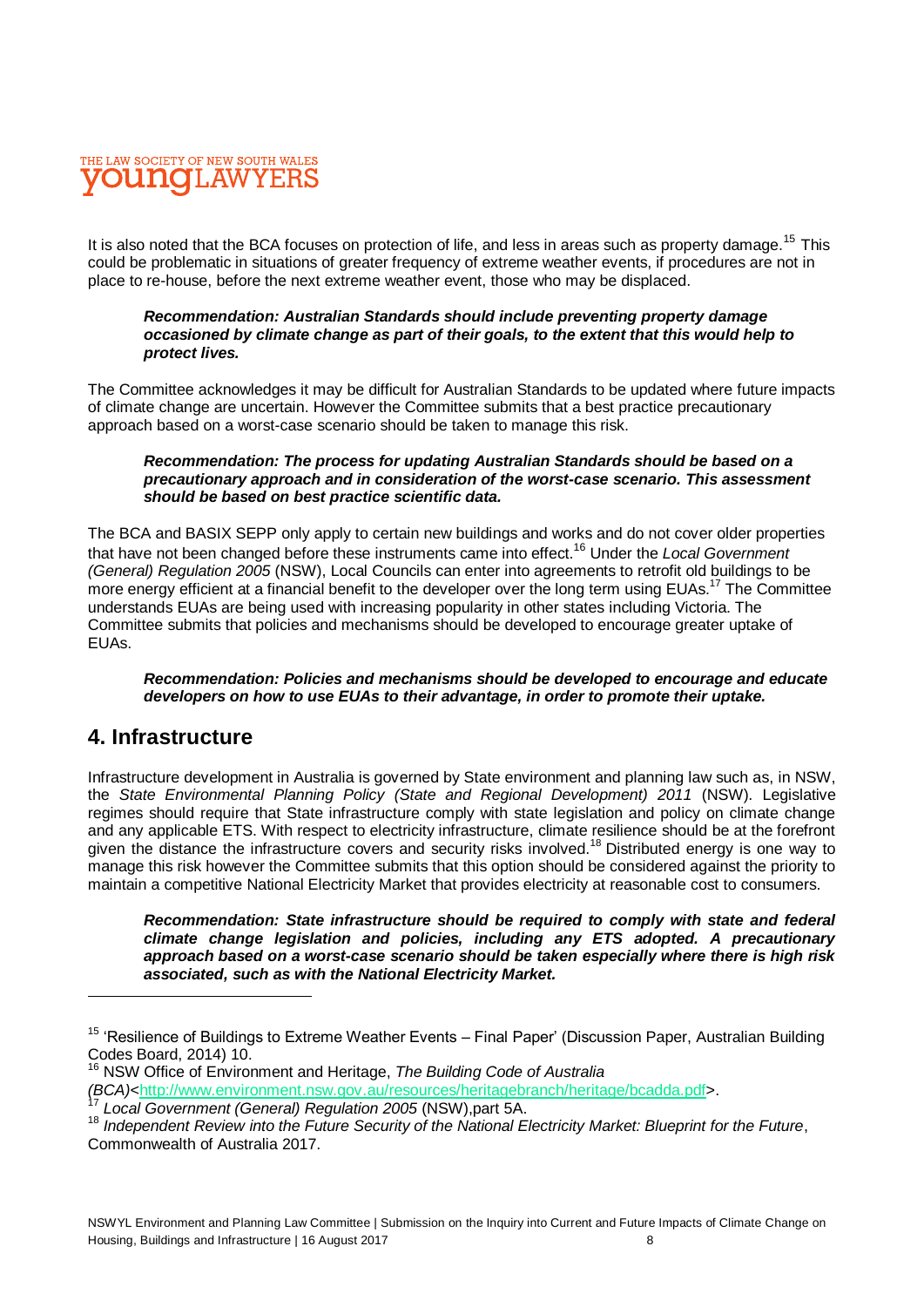

It is also noted that the BCA focuses on protection of life, and less in areas such as property damage.<sup>15</sup> This could be problematic in situations of greater frequency of extreme weather events, if procedures are not in place to re-house, before the next extreme weather event, those who may be displaced.

#### *Recommendation: Australian Standards should include preventing property damage occasioned by climate change as part of their goals, to the extent that this would help to protect lives.*

The Committee acknowledges it may be difficult for Australian Standards to be updated where future impacts of climate change are uncertain. However the Committee submits that a best practice precautionary approach based on a worst-case scenario should be taken to manage this risk.

### *Recommendation: The process for updating Australian Standards should be based on a precautionary approach and in consideration of the worst-case scenario. This assessment should be based on best practice scientific data.*

The BCA and BASIX SEPP only apply to certain new buildings and works and do not cover older properties that have not been changed before these instruments came into effect.<sup>16</sup> Under the *Local Government (General) Regulation 2005* (NSW), Local Councils can enter into agreements to retrofit old buildings to be more energy efficient at a financial benefit to the developer over the long term using EUAs.<sup>17</sup> The Committee understands EUAs are being used with increasing popularity in other states including Victoria. The Committee submits that policies and mechanisms should be developed to encourage greater uptake of **EUAs**.

### *Recommendation: Policies and mechanisms should be developed to encourage and educate developers on how to use EUAs to their advantage, in order to promote their uptake.*

# **4. Infrastructure**

 $\overline{a}$ 

Infrastructure development in Australia is governed by State environment and planning law such as, in NSW, the *State Environmental Planning Policy (State and Regional Development) 2011* (NSW). Legislative regimes should require that State infrastructure comply with state legislation and policy on climate change and any applicable ETS. With respect to electricity infrastructure, climate resilience should be at the forefront given the distance the infrastructure covers and security risks involved.<sup>18</sup> Distributed energy is one way to manage this risk however the Committee submits that this option should be considered against the priority to maintain a competitive National Electricity Market that provides electricity at reasonable cost to consumers.

*Recommendation: State infrastructure should be required to comply with state and federal climate change legislation and policies, including any ETS adopted. A precautionary approach based on a worst-case scenario should be taken especially where there is high risk associated, such as with the National Electricity Market.*

<sup>&</sup>lt;sup>15</sup> 'Resilience of Buildings to Extreme Weather Events – Final Paper' (Discussion Paper, Australian Building Codes Board, 2014) 10.

<sup>16</sup> NSW Office of Environment and Heritage, *The Building Code of Australia* 

*<sup>(</sup>BCA)*[<http://www.environment.nsw.gov.au/resources/heritagebranch/heritage/bcadda.pdf>](http://www.environment.nsw.gov.au/resources/heritagebranch/heritage/bcadda.pdf).

<sup>17</sup> *Local Government (General) Regulation 2005* (NSW),part 5A.

<sup>18</sup> *Independent Review into the Future Security of the National Electricity Market: Blueprint for the Future*, Commonwealth of Australia 2017.